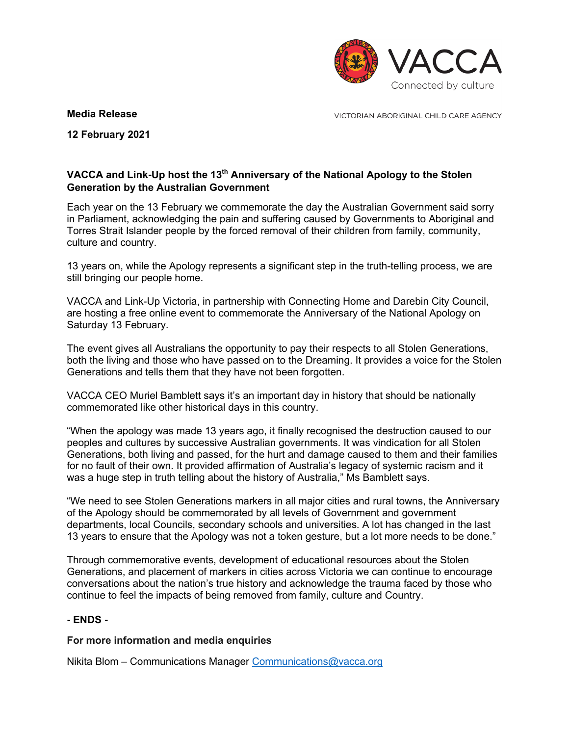

### **Media Release**

VICTORIAN ABORIGINAL CHILD CARE AGENCY

**12 February 2021**

# **VACCA and Link-Up host the 13th Anniversary of the National Apology to the Stolen Generation by the Australian Government**

Each year on the 13 February we commemorate the day the Australian Government said sorry in Parliament, acknowledging the pain and suffering caused by Governments to Aboriginal and Torres Strait Islander people by the forced removal of their children from family, community, culture and country.

13 years on, while the Apology represents a significant step in the truth-telling process, we are still bringing our people home.

VACCA and Link-Up Victoria, in partnership with Connecting Home and Darebin City Council, are hosting a free online event to commemorate the Anniversary of the National Apology on Saturday 13 February.

The event gives all Australians the opportunity to pay their respects to all Stolen Generations, both the living and those who have passed on to the Dreaming. It provides a voice for the Stolen Generations and tells them that they have not been forgotten.

VACCA CEO Muriel Bamblett says it's an important day in history that should be nationally commemorated like other historical days in this country.

"When the apology was made 13 years ago, it finally recognised the destruction caused to our peoples and cultures by successive Australian governments. It was vindication for all Stolen Generations, both living and passed, for the hurt and damage caused to them and their families for no fault of their own. It provided affirmation of Australia's legacy of systemic racism and it was a huge step in truth telling about the history of Australia," Ms Bamblett says.

"We need to see Stolen Generations markers in all major cities and rural towns, the Anniversary of the Apology should be commemorated by all levels of Government and government departments, local Councils, secondary schools and universities. A lot has changed in the last 13 years to ensure that the Apology was not a token gesture, but a lot more needs to be done."

Through commemorative events, development of educational resources about the Stolen Generations, and placement of markers in cities across Victoria we can continue to encourage conversations about the nation's true history and acknowledge the trauma faced by those who continue to feel the impacts of being removed from family, culture and Country.

## **- ENDS -**

#### **For more information and media enquiries**

Nikita Blom – Communications Manager Communications@vacca.org